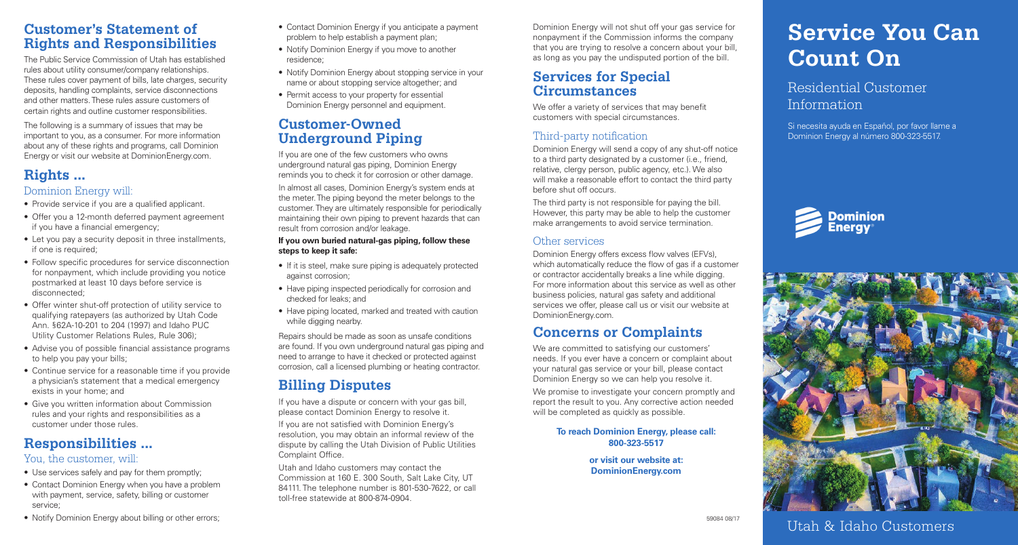## **Customer's Statement of Rights and Responsibilities**

The Public Service Commission of Utah has established rules about utility consumer/company relationships. These rules cover payment of bills, late charges, security deposits, handling complaints, service disconnections and other matters. These rules assure customers of certain rights and outline customer responsibilities.

The following is a summary of issues that may be important to you, as a consumer. For more information about any of these rights and programs, call Dominion Energy or visit our website at DominionEnergy.com.

# **Rights ...**

## Dominion Energy will:

- Provide service if you are a qualified applicant.
- Offer you a 12-month deferred payment agreement if you have a financial emergency;
- Let you pay a security deposit in three installments, if one is required;
- Follow specific procedures for service disconnection for nonpayment, which include providing you notice postmarked at least 10 days before service is disconnected;
- Offer winter shut-off protection of utility service to qualifying ratepayers (as authorized by Utah Code Ann. §62A-10-201 to 204 (1997) and Idaho PUC Utility Customer Relations Rules, Rule 306);
- Advise you of possible financial assistance programs to help you pay your bills;
- Continue service for a reasonable time if you provide a physician's statement that a medical emergency exists in your home; and
- Give you written information about Commission rules and your rights and responsibilities as a customer under those rules.

# **Responsibilities ...**

## You, the customer, will:

- Use services safely and pay for them promptly;
- Contact Dominion Energy when you have a problem with payment, service, safety, billing or customer service;
- Notify Dominion Energy about billing or other errors:
- Contact Dominion Energy if you anticipate a payment problem to help establish a payment plan;
- Notify Dominion Energy if you move to another residence;
- Notify Dominion Energy about stopping service in your name or about stopping service altogether; and
- Permit access to your property for essential Dominion Energy personnel and equipment.

## **Customer-Owned Underground Piping**

If you are one of the few customers who owns underground natural gas piping, Dominion Energy reminds you to check it for corrosion or other damage. In almost all cases, Dominion Energy's system ends at the meter. The piping beyond the meter belongs to the customer. They are ultimately responsible for periodically maintaining their own piping to prevent hazards that can result from corrosion and/or leakage.

#### **If you own buried natural-gas piping, follow these steps to keep it safe:**

- If it is steel, make sure piping is adequately protected against corrosion;
- Have piping inspected periodically for corrosion and checked for leaks; and
- Have piping located, marked and treated with caution while digging nearby.

Repairs should be made as soon as unsafe conditions are found. If you own underground natural gas piping and need to arrange to have it checked or protected against corrosion, call a licensed plumbing or heating contractor.

# **Billing Disputes**

If you have a dispute or concern with your gas bill, please contact Dominion Energy to resolve it.

If you are not satisfied with Dominion Energy's resolution, you may obtain an informal review of the dispute by calling the Utah Division of Public Utilities Complaint Office.

Utah and Idaho customers may contact the Commission at 160 E. 300 South, Salt Lake City, UT 84111. The telephone number is 801-530-7622, or call toll-free statewide at 800-874-0904.

Dominion Energy will not shut off your gas service for nonpayment if the Commission informs the company that you are trying to resolve a concern about your bill, as long as you pay the undisputed portion of the bill.

## **Services for Special Circumstances**

We offer a variety of services that may benefit customers with special circumstances.

## Third-party notification

Dominion Energy will send a copy of any shut-off notice to a third party designated by a customer (i.e., friend, relative, clergy person, public agency, etc.). We also will make a reasonable effort to contact the third party before shut off occurs.

The third party is not responsible for paying the bill. However, this party may be able to help the customer make arrangements to avoid service termination.

## Other services

Dominion Energy offers excess flow valves (EFVs), which automatically reduce the flow of gas if a customer or contractor accidentally breaks a line while digging. For more information about this service as well as other business policies, natural gas safety and additional services we offer, please call us or visit our website at DominionEnergy.com.

# **Concerns or Complaints**

We are committed to satisfying our customers' needs. If you ever have a concern or complaint about your natural gas service or your bill, please contact Dominion Energy so we can help you resolve it.

We promise to investigate your concern promptly and report the result to you. Any corrective action needed will be completed as quickly as possible.

#### **To reach Dominion Energy, please call: 800-323-5517**

**or visit our website at: DominionEnergy.com** 

# **Service You Can Count On**

Residential Customer Information

Si necesita ayuda en Español, por favor llame a Dominion Energy al número 800-323-5517.





Utah & Idaho Customers